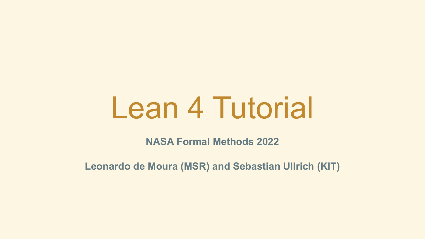# Lean 4 Tutorial

**NASA Formal Methods 2022**

**Leonardo de Moura (MSR) and Sebastian Ullrich (KIT)**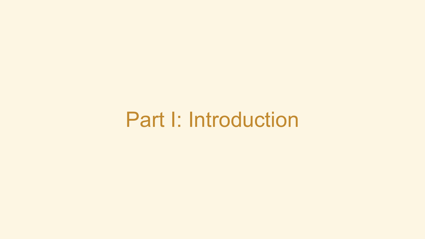## Part I: Introduction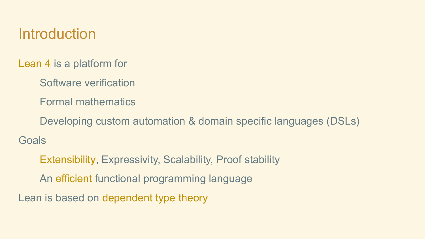### Introduction

Lean 4 is a platform for

- Software verification
- Formal mathematics
- Developing custom automation & domain specific languages (DSLs)

**Goals** 

Extensibility, Expressivity, Scalability, Proof stability An efficient functional programming language

Lean is based on dependent type theory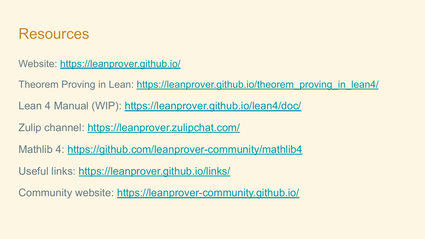#### **Resources**

Website: <https://leanprover.github.io/>

Theorem Proving in Lean: [https://leanprover.github.io/theorem\\_proving\\_in\\_lean4/](https://leanprover.github.io/theorem_proving_in_lean4/)

Lean 4 Manual (WIP):<https://leanprover.github.io/lean4/doc/>

Zulip channel:<https://leanprover.zulipchat.com/>

Mathlib 4:<https://github.com/leanprover-community/mathlib4>

Useful links:<https://leanprover.github.io/links/>

Community website:<https://leanprover-community.github.io/>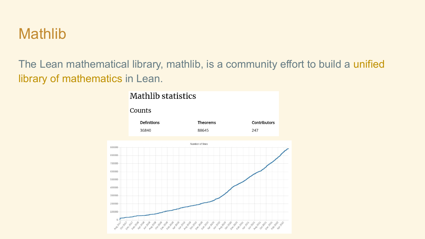#### **Mathlib**

The Lean mathematical library, mathlib, is a community effort to build a unified library of mathematics in Lean.

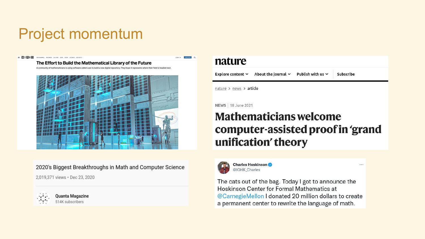### Project momentum

#### $=$   $MTBEB$ MOKENANNEL BURENDER CULTURE SEAR TOEAN ROTENCE RECHAITS

The Effort to Build the Mathematical Library of the Future

A community of mathematicians is using software called Lean to build a new digital repository. They hope it represents where their field is headed next.



2020's Biggest Breakthroughs in Math and Computer Science

2.019.371 views · Dec 23, 2020



**Ouanta Magazine** 514K subscribers

#### nature

**THE REAL PROPERTY OF** 

About the journal  $\times$  Publish with us  $\times$ Explore content ~ Subscribe

nature > news > article



#### **Mathematicians welcome** computer-assisted proof in 'grand unification' theory

...



**Charles Hoskinson** @IOHK Charles

The cats out of the bag. Today I got to announce the Hoskinson Center for Formal Mathematics at @CarnegieMellon I donated 20 million dollars to create a permanent center to rewrite the language of math.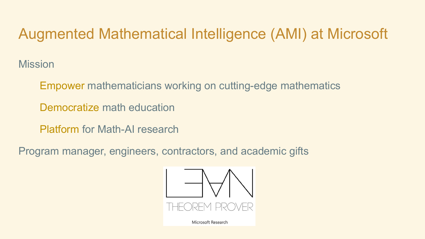### Augmented Mathematical Intelligence (AMI) at Microsoft

**Mission** 

Empower mathematicians working on cutting-edge mathematics

Democratize math education

Platform for Math-AI research

Program manager, engineers, contractors, and academic gifts



Microsoft Research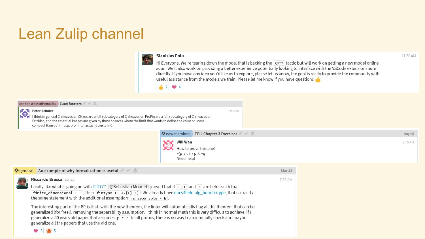### Lean Zulip channel



#### **Stanislas Polu**

Hi Everyone. We're tearing down the model that is backing the gptf tactic but will work on getting a new model online soon. We'll also work on providing a better experience potentially looking to interface with the VSCode extension more directly. If you have any idea you'd like us to explore, please let us know, the goal is really to provide the community with useful assistance from the models we train. Please let me know if you have questions



#### condensed mathematics Exact functors **Peter Scholze** 11:35 AM Ithink in general C-sheaves on CHaus are a full subcategory of C-sheaves on ProFin are a full subcategory of C-sheaves on ExtrDisc, and the essential images are given by those sheaves where the limit that wants to define the value on some compact Hausdorff (resp. profinite) actually exists in C. **O** new members TPIL Chapter 3 Exercises ∕ √ <del>X</del>



| $\bigcirc$ general An example of why formalization is useful $\mathscr{A} \rightarrow \mathscr{A}$                                                                                                                                                                                                                                                                                                                                                                                                                                                                                                                                                                                                                                                | Mar <sub>31</sub> |
|---------------------------------------------------------------------------------------------------------------------------------------------------------------------------------------------------------------------------------------------------------------------------------------------------------------------------------------------------------------------------------------------------------------------------------------------------------------------------------------------------------------------------------------------------------------------------------------------------------------------------------------------------------------------------------------------------------------------------------------------------|-------------------|
| <b>Riccardo Brasca EDITED</b><br>I really like what is going on with #12777. @Sebastian Monnet proved that if E, F and K are fields such that<br>finite_dimensional F E, then fintype $(E \rightarrow a [F] K)$ . We already have docs#field.alg_hom.fintype, that is exactly<br>the same statement with the additional assumption is separable $F E$ .<br>The interesting part of the PR is that, with the new theorem, the linter will automatically flag all the theorem that can be<br>generalized (for free!), removing the separability assumption. I think in normal math this is very difficult to achieve, if I<br>generalize a 50 years old paper that assumes $p \neq 2$ to all primes, there is no way I can manually check and maybe | 7:53 AM           |
| generalize all the papers that use the old one.                                                                                                                                                                                                                                                                                                                                                                                                                                                                                                                                                                                                                                                                                                   |                   |



May 05

2:55 AM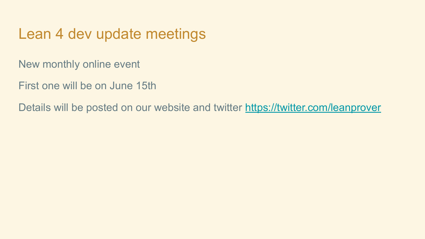#### Lean 4 dev update meetings

New monthly online event

First one will be on June 15th

Details will be posted on our website and twitter<https://twitter.com/leanprover>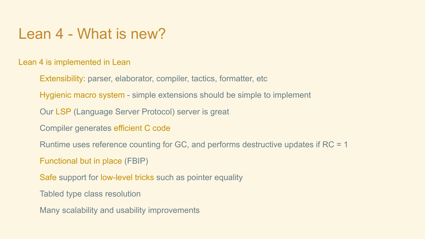#### Lean 4 - What is new?

Lean 4 is implemented in Lean

Extensibility: parser, elaborator, compiler, tactics, formatter, etc

Hygienic macro system - simple extensions should be simple to implement

Our LSP (Language Server Protocol) server is great

Compiler generates efficient C code

Runtime uses reference counting for GC, and performs destructive updates if RC = 1

Functional but in place (FBIP)

Safe support for low-level tricks such as pointer equality

Tabled type class resolution

Many scalability and usability improvements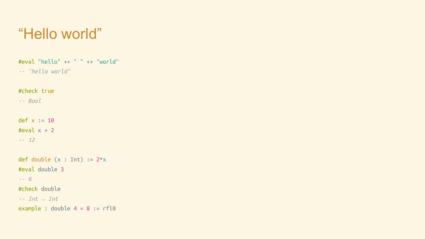### "Hello world"

#eval "hello" ++ " " ++ "world" *-- "hello world"* #check true *-- Bool* def  $x := 10$ #eval  $x + 2$ *-- 12* def double  $(x : Int) := 2*x$ #eval double 3 *-- 6* #check double *-- Int → Int* example : double  $4 = 8$  := rfl0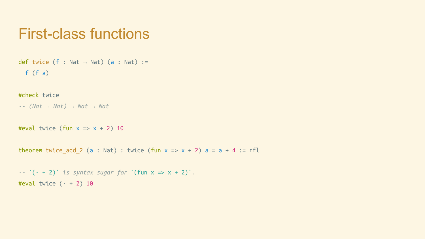#### First-class functions

```
def twice (f : Nat \rightarrow Nat) (a : Nat) :=
   f (f a)
```
#check twice

*-- (Nat → Nat) → Nat → Nat*

#eval twice (fun  $x \Rightarrow x + 2$ ) 10

theorem twice add 2 (a : Nat) : twice (fun  $x = x + 2$ ) a = a + 4 := rfl

*--* `(· + 2)` *is syntax sugar for* `(fun x => x + 2)`*.* #eval twice  $(· + 2)$  10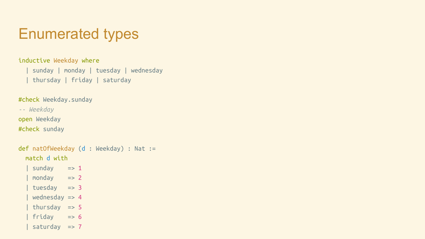### Enumerated types

inductive Weekday where

| sunday | monday | tuesday | wednesday | thursday | friday | saturday

#check Weekday.sunday

*-- Weekday*

open Weekday

#check sunday

```
def natOfWeekday (d : Weekday) : Nat :=
   match d with
  | sunday \Rightarrow 1
  \sqrt{} monday \sqrt{} => 2
   tuesday => 3
   wednesday => 4
    thursday => 5
   friday \Rightarrow 6
    saturday => 7
```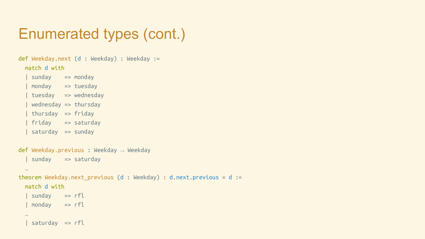### Enumerated types (cont.)

```
def Weekday.next (d : Weekday) : Weekday :=
  match d with
    | sunday => monday
     | monday => tuesday
    | tuesday => wednesday
   w wednesday \Rightarrow thursday
   thursday => friday | friday => saturday
     | saturday => sunday
def Weekday.previous : Weekday → Weekday
    | sunday => saturday
   …
theorem Weekday.next_previous (d : Weekday) : d.next.previous = d :=
  match d with
    | sunday => rfl
     | monday => rfl
   …
    saturday => rfl
```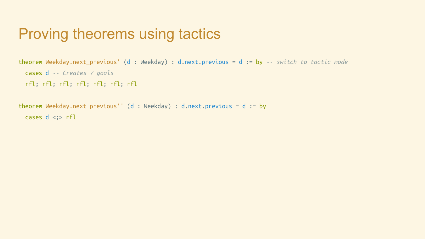#### Proving theorems using tactics

```
theorem Weekday.next_previous' (d : Weekday) : d.next.previous = d := by -- switch to tactic mode
  cases d -- Creates 7 goals
  rfl; rfl; rfl; rfl; rfl; rfl; rfl
```

```
theorem Weekday.next_previous'' (d : Weekday) : d.next.previous = d := by
 cases d \leq; rfl
```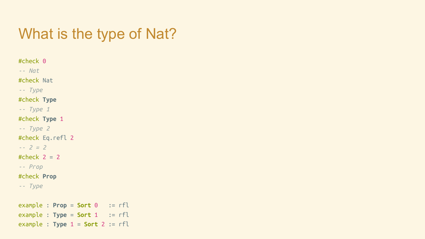#### What is the type of Nat?

#check 0 *-- Nat* #check Nat *-- Type* #check **Type** *-- Type 1* #check **Type** 1 *-- Type 2* #check Eq.refl 2 *-- 2 = 2* #check  $2 = 2$ *-- Prop* #check **Prop** *-- Type* example : **Prop** = **Sort** 0 := rfl  $example : Type = Sort 1 : = rfl$ example : **Type** 1 = **Sort** 2 := rfl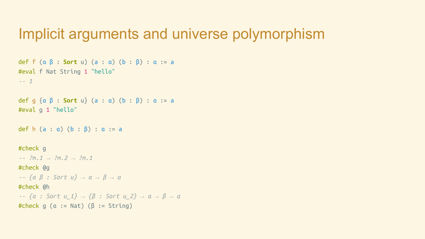#### Implicit arguments and universe polymorphism

```
def f (α β : Sort u) (a : α) (b : β) : α := a
#eval f Nat String 1 "hello"
-- 1
def g {α β : Sort u} (a : α) (b : β) : α := a
#eval g 1 "hello"
def h (a : a) (b : \beta) : a := a
#check g
-- ?m.1 → ?m.2 → ?m.1
#check @g
-- {α β : Sort u} → α → β → α
#check @h
-- {α : Sort u_1} → {β : Sort u_2} → α → β → α
#check g (α := Nat) (β := String)
```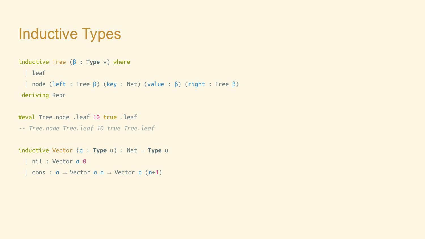### Inductive Types

```
inductive Tree (β : Type v) where
   | leaf
   | node (left : Tree β) (key : Nat) (value : β) (right : Tree β)
deriving Repr
```

```
#eval Tree.node .leaf 10 true .leaf
-- Tree.node Tree.leaf 10 true Tree.leaf
inductive Vector (α : Type u) : Nat → Type u
   | nil : Vector α 0
```

```
cons : a \rightarrow Vector a \neq 0 Vector a \neq 1)
```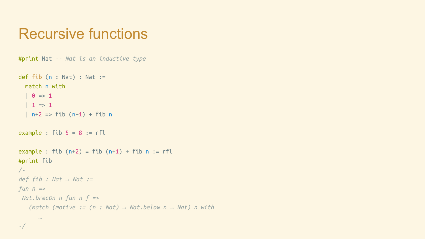#### Recursive functions

```
#print Nat -- Nat is an inductive type
def fib (n : Nat) : Nat := match n with
  | 0 \implies 1| 1 => 1
  | n+2 => fib (n+1) + fib nexample : fib 5 = 8 := rflexample : fib (n+2) = fib (n+1) + fib n := rfl
#print fib
/-
def fib : Nat → Nat :=
fun n =>
 Nat.brecOn n fun n f =>
    (match (motive := (n : Nat) → Nat.below n → Nat) n with
 …
```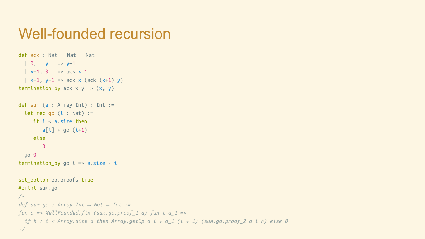#### Well-founded recursion

```
def ack : Nat → Nat → Nat
  | 0, y == y + 1| x+1, 0 | => ack x 1
  | x+1, y+1 => ack x (ack (x+1) y)
termination by ack x y => (x, y)def sum (a : Array Int) : Int :=
 let rec go (i : Nat) := if i < a.size then
        a[i] + go (i+1) else
        \Theta go 0
termination by go i \Rightarrow a.size - iset option pp.proofs true
#print sum.go
/-
def sum.go : Array Int → Nat → Int :=
fun a => WellFounded.fix (sum.go.proof_1 a) fun i a_1 =>
   if h : i < Array.size a then Array.getOp a i + a_1 (i + 1) (sum.go.proof_2 a i h) else 0
```
*-/*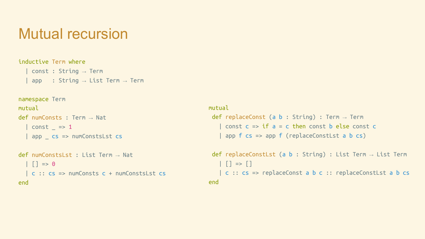#### Mutual recursion

#### inductive Term where

```
const : String \rightarrow Termapp : String \rightarrow List Term \rightarrow Term
```
#### namespace Term mutual def numConsts : Term → Nat | const  $=$  => 1

```
 | app _ cs => numConstsLst cs
```

```
def numConstsLst : List Term \rightarrow Nat
  | | | => 0
   | c :: cs => numConsts c + numConstsLst cs
end
```
#### mutual def replaceConst (a b : String) : Term  $\rightarrow$  Term  $const c \Rightarrow if a = c then const b else const c$ app  $f$  cs => app  $f$  (replaceConstLst a  $b$  cs)

```
def replaceConstLst (a b : String) : List Term \rightarrow List Term
   | | | => | | c :: cs => replaceConst a b c :: replaceConstLst a b cs
end
```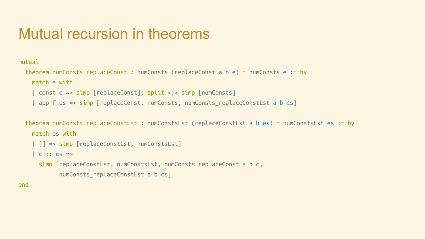#### Mutual recursion in theorems

#### mutual

```
 theorem numConsts_replaceConst : numConsts (replaceConst a b e) = numConsts e := by
  match e with
   | const c => simp [replaceConst]; split <;> simp [numConsts]
  | app f cs => \textsf{simp} [replaceConst, numConsts, numConsts replaceConstLst a b cs]
```

```
 theorem numConsts_replaceConstLst : numConstsLst (replaceConstLst a b es) = numConstsLst es := by
  match es with
   | [] => simp [replaceConstLst, numConstsLst]
  | c :: cs =simp [replaceConstLst, numConstsLst, numConsts replaceConst a b c,
         numConsts replaceConstLst a b cs]
```
end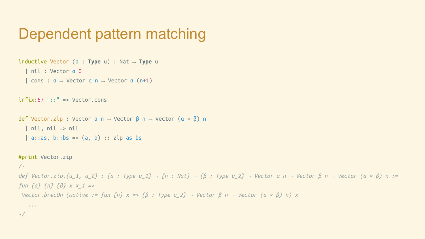#### Dependent pattern matching

```
inductive Vector (α : Type u) : Nat → Type u
    | nil : Vector α 0
    cons : a \rightarrow Vector \ a \ n \rightarrow Vector \ a \ (n+1)infix:67 "::" => Vector.cons
def Vector.zip : Vector α n → Vector β n → Vector (α × β) n
    | nil, nil => nil
   | a::as, b::bs => (a, b) :: zip as bs#print Vector.zip
/-
```
*-/*

*def Vector.zip.{u\_1, u\_2} : {α : Type u\_1} → {n : Nat} → {β : Type u\_2} → Vector α n → Vector β n → Vector (α × β) n := fun {α} {n} {β} x x\_1 => Vector.brecOn (motive := fun {n} x => {β : Type u\_2} → Vector β n → Vector (α × β) n) x ...*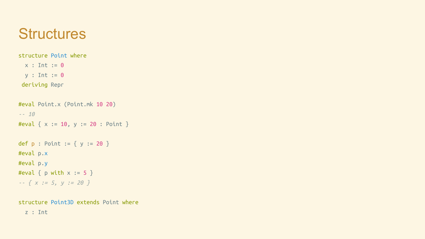#### **Structures**

structure Point where

 $x : Int := 0$  $y : Int := 0$ 

deriving Repr

```
#eval Point.x (Point.mk 10 20)
-- 10
#eval \{ x := 10, y := 20 : Point \}def p : Point := { y := 20 }#eval p.x
#eval p.y
#eval { p with x := 5 }
-- { x := 5, y := 20 }
```
structure Point3D extends Point where z : Int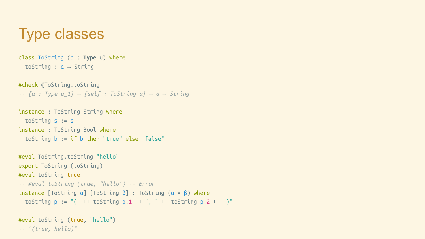### Type classes

class ToString (α : **Type** u) where toString : α → String

#check @ToString.toString *-- {α : Type u\_1} → [self : ToString α] → α → String*

```
instance : ToString String where
  toString s := s
instance : ToString Bool where
  toString b := if b then "true" else "false"
```

```
#eval ToString.toString "hello"
export ToString (toString)
#eval toString true
-- #eval toString (true, "hello") -- Error
instance [ToString α] [ToString β] : ToString (α × β) where
  toString p := "(" + toString p.1 ++ ", " + toString p.2 ++ ")"
```

```
#eval toString (true, "hello")
-- "(true, hello)"
```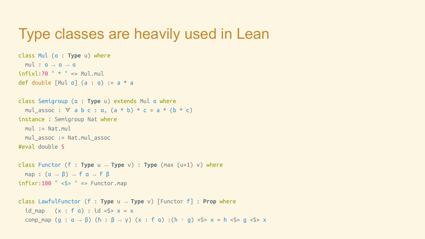#### Type classes are heavily used in Lean

```
class Mul (α : Type u) where
  mul : a \rightarrow a \rightarrow ainfixl:70 " * " => Mul.muldef double [Mul a] (a : a) := a * a
class Semigroup (α : Type u) extends Mul α where
  mulassoc : \forall a b c : a, (a * b) * c = a * (b * c)instance : Semigroup Nat where
   mul := Nat.mul
   mul_assoc := Nat.mul_assoc
#eval double 5
class Functor (f : Type u → Type v) : Type (max (u+1) v) where
  map : (a \rightarrow \beta) \rightarrow f a \rightarrow f \betainfixr:100 " <$> " => Functor.map
class LawfulFunctor (f : Type u → Type v) [Functor f] : Prop where
  id map (x : f a) : id < s > x = x
```

```
comp map (g : a \rightarrow \beta) (h : \beta \rightarrow y) (x : f a) :(h ∘ g) <$> x = h <$> g <$> x
```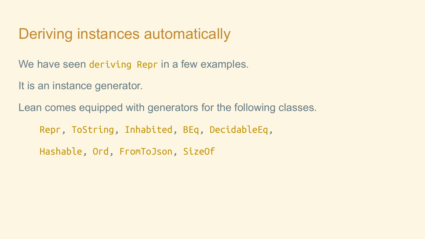#### Deriving instances automatically

We have seen deriving Repr in a few examples.

It is an instance generator.

Lean comes equipped with generators for the following classes.

Repr, ToString, Inhabited, BEq, DecidableEq,

Hashable, Ord, FromToJson, SizeOf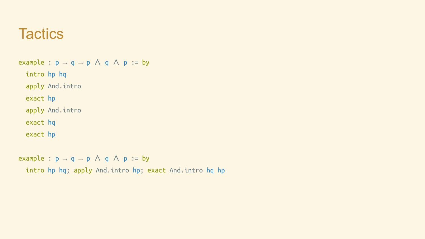#### **Tactics**

example :  $p \rightarrow q \rightarrow p \land q \land p$  := by intro hp hq apply And.intro exact hp apply And.intro exact hq exact hp

example :  $p \rightarrow q \rightarrow p \land q \land p$  := by

intro hp hq; apply And.intro hp; exact And.intro hq hp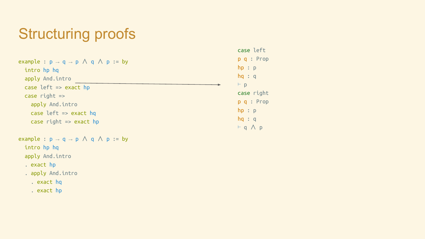### Structuring proofs

| example : $p \rightarrow q \rightarrow p \land q \land p := by$ | p q : Pr                 |
|-----------------------------------------------------------------|--------------------------|
| intro hp hq                                                     | hp: p                    |
| apply And.intro                                                 | hq: q                    |
| case $left => exact hp$                                         | $\vdash$ p               |
| case right $\Rightarrow$                                        | case righ                |
| apply And.intro                                                 | p q : Pr                 |
| case left $\Rightarrow$ exact hq                                | hp: p                    |
| case right $\Rightarrow$ exact hp                               | hq: q                    |
|                                                                 | $\vdash$ $\land$ $\land$ |

example : 
$$
p \rightarrow q \rightarrow p \land q \land p := by
$$

intro hp hq

apply And.intro

. exact hp

. apply And.intro

. exact hq

. exact hp

case left  $op$ ht  $op$ ⊢ q ∧ p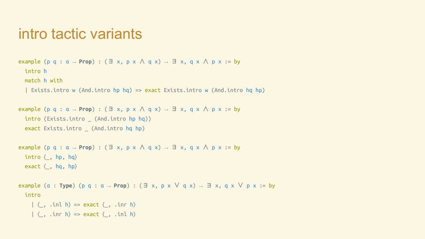#### intro tactic variants

```
example (p q : a \rightarrow Prop) : (\exists x, p \times \land q \times) \rightarrow \exists x, q \times \land p \times := by intro h
   match h with
    | Exists.intro w (And.intro hp hq) => exact Exists.intro w (And.intro hq hp)
```

```
example (p q : a \rightarrow Prop) : (\exists x, p \times \land q \times) \rightarrow \exists x, q \times \land p \times := by
  intro (Exists.intro (And.intro hp hq))
   exact Exists.intro _ (And.intro hq hp)
```

```
example (p q : a \rightarrow Prop) : (\exists x, p \times \land q \times) \rightarrow \exists x, q \times \land p \times := byintro \langle, hp, hq\rangleexact \langle, hq, hp\rangle
```

```
example (α : Type) (p q : α → Prop) : (∃ x, p x ∨ q x) → ∃ x, q x ∨ p x := by
   intro
     |\langle, .inl h\rangle => exact \langle , .inr h\rangle| \langle, .inr h\rangle => exact \langle , .inl h
```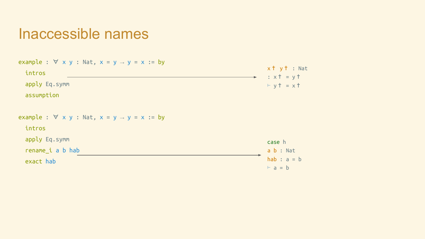#### Inaccessible names

| example : $\forall$ x y : Nat, x = y $\rightarrow$ y = x := by<br>intros<br>apply Eq. symm<br>assumption | $x + y + \ldots$ Nat<br>$\therefore$ x $\dagger$ = y $\dagger$<br>$+ y$ + = x + |
|----------------------------------------------------------------------------------------------------------|---------------------------------------------------------------------------------|
| example : $\forall$ x y : Nat, x = y $\rightarrow$ y = x := by<br>intros                                 |                                                                                 |
| apply Eq.symm                                                                                            | case h                                                                          |
| rename i a b hab                                                                                         | a b : Nat                                                                       |
| exact hab                                                                                                | hab : $a = b$                                                                   |
|                                                                                                          | $\vdash$ a = b                                                                  |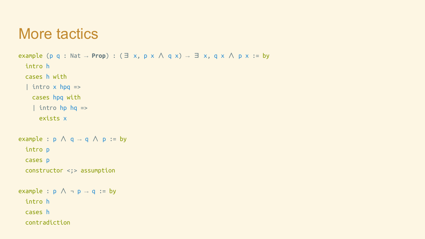#### More tactics

```
example (p q : Nat → Prop) : (\exists x, p \times \land q \times) \rightarrow \exists x, q \times \land p \times := by intro h
   cases h with
  | intro x hpq =>
     cases hpq with
     | intro hp hq =>
        exists x
example : p \wedge q \rightarrow q \wedge p := by intro p
   cases p
   constructor <;> assumption
example : p \wedge \neg p \rightarrow q := by intro h
   cases h
```

```
 contradiction
```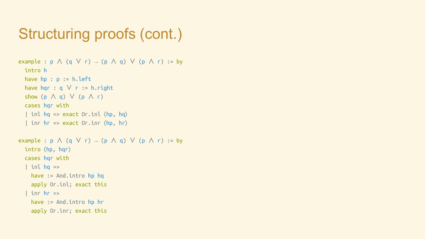### Structuring proofs (cont.)

```
example : p \wedge (q \vee r) \rightarrow (p \wedge q) \vee (p \wedge r) := by intro h
  have hp : p := h.lefthave hqr : q \vee r := h.right
  show (p \wedge q) \vee (p \wedge r) cases hqr with
  | inl hq => exact Or.inl \langlehp, hq\rangle| inr hr => exact Or.inr \langlehp, hr\rangleexample : p \wedge (q \vee r) \rightarrow (p \wedge q) \vee (p \wedge r) := by intro ⟨hp, hqr⟩
   cases hqr with
  | inl hq =>
     have := And.intro hp hq
     apply Or.inl; exact this
    | inr hr =>
     have := And.intro hp hr
     apply Or.inr; exact this
```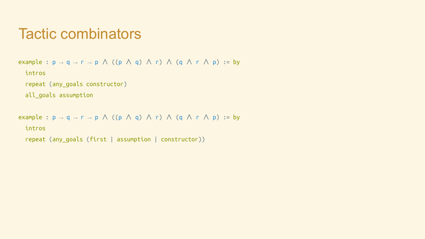#### Tactic combinators

```
example : p \rightarrow q \rightarrow r \rightarrow p \land ((p \land q) \land r) \land (q \land r \land p) := by
```
intros

```
 repeat (any_goals constructor)
```
all\_goals assumption

```
example : p \rightarrow q \rightarrow r \rightarrow p \land ((p \land q) \land r) \land (q \land r \land p) := by
```
intros

```
 repeat (any_goals (first | assumption | constructor))
```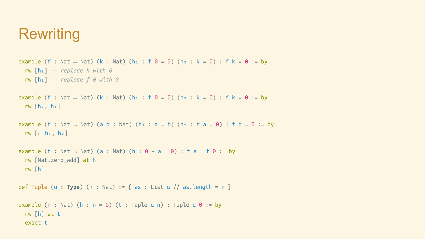### **Rewriting**

```
example (f : Nat → Nat) (k : Nat) (h<sub>1</sub> : f 0 = 0) (h<sub>2</sub> : k = 0) : f k = 0 := by
   rw [h₂] -- replace k with 0
   rw [h₁] -- replace f 0 with 0
example (f : Nat → Nat) (k : Nat) (h<sub>1</sub> : f 0 = 0) (h<sub>2</sub> : k = 0) : f k = 0 := by
  rw [h<sub>2</sub>, h<sub>1</sub>]example (f : Nat \rightarrow Nat) (a b : Nat) (h<sub>1</sub> : a = b) (h<sub>2</sub> : f a = 0) : f b = 0 := by
  rw \left[ \leftarrow h_1, h_2 \right]example (f : Nat \rightarrow Nat) (a : Nat) (h : 0 + a = 0) : f a = f 0 := by
   rw [Nat.zero_add] at h
   rw [h]
def Tuple (α : Type) (n : Nat) := { as : List α // as.length = n }
example (n : Nat) (h : n = 0) (t : Tuple a n) : Tuple a 0 := by
   rw [h] at t
   exact t
```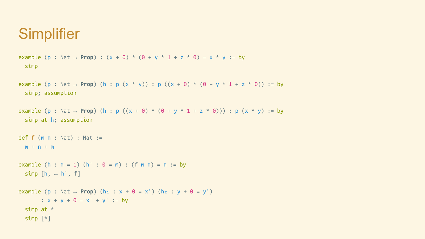### **Simplifier**

```
example (p : Nat → Prop) : (x + 0) * (0 + y * 1 + z * 0) = x * y := by
  simp
```

```
example (p : Nat → Prop) (h : p (x * y)) : p ((x + 0) * (0 + y * 1 + z * 0)) := by
  simp; assumption
```

```
example (p : Nat → Prop) (h : p ((x + 0) * (0 + y * 1 + z * 0))) : p (x * y) := by
  simp at h; assumption
```

```
def f (m n : Nat) : Nat :=
 m + n + m
```

```
example (h : n = 1) (h' : 0 = m) : (f m n) = n := by
 simp [h, -h', f]
```

```
example (p : Nat \rightarrow Prop) (h<sub>1</sub> : x + 0 = x<sup>'</sup>) (h<sub>2</sub> : y + 0 = y<sup>'</sup>)
          : x + y + 0 = x' + y' := by simp at *
   simp [*]
```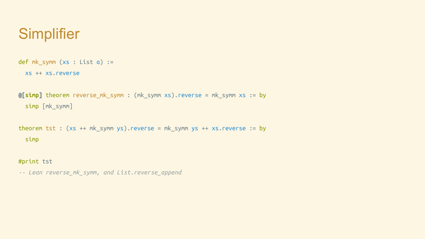### **Simplifier**

```
def mk_symm (xs : List a) :=
```

```
 xs ++ xs.reverse
```

```
@[simp] theorem reverse_mk_symm : (mk_symm xs).reverse = mk_symm xs := by
   simp [mk_symm]
```

```
theorem tst : (xs ++ mk_symm ys).reverse = mk_symm ys ++ xs.reverse := by
  simp
```
#print tst

```
-- Lean reverse_mk_symm, and List.reverse_append
```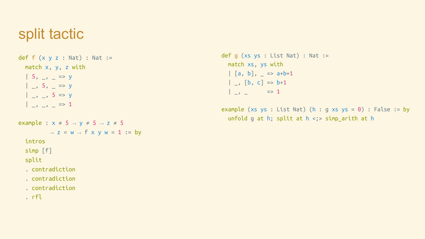#### split tactic

def  $f(x, y, z : Nat) : Nat :=$ match  $x$ ,  $y$ ,  $z$  with  $| 5, -1 | = | 9$  $| , 5, - \Rightarrow y$  | \_, \_, 5 => y  $| , , , \_ \ = \ge 1$ example :  $x \ne 5 \rightarrow y \ne 5 \rightarrow z \ne 5$  $\rightarrow$  z = w  $\rightarrow$  f x y w = 1 := by intros simp [f] split . contradiction . contradiction . contradiction

. rfl

def  $q$  (xs ys : List Nat) : Nat := match xs, ys with  $\begin{bmatrix} a, b \end{bmatrix}$ ,  $=$  => a+b+1  $| , [b, c] \Rightarrow b + 1$  $|\quad \_ \rightarrow \_ \ = \ = \ = \ \ 1$ 

example (xs ys : List Nat) (h : g xs ys =  $\theta$ ) : False := by unfold q at h; split at  $h \leq$  simp arith at h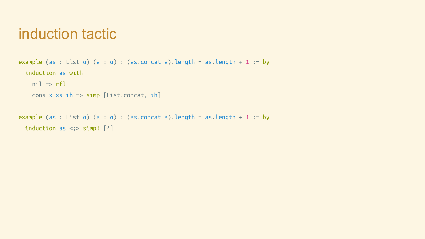#### induction tactic

```
example (as : List a) (a : a) : (as.concat a).length = as.length + 1 := by
  induction as with
  | nil \Rightarrow rfl| cons x xs ih => simp [List.concat, ih]
```

```
example (as : List a) (a : a) : (as.concat a).length = as.length + 1 := by
  induction as \langle ; \rangle simp! [*]
```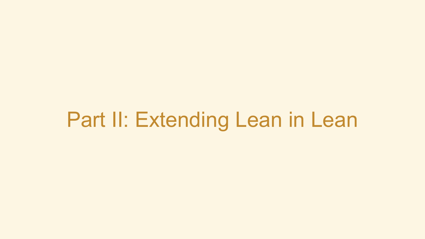# Part II: Extending Lean in Lean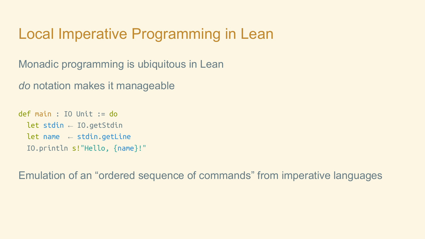#### Local Imperative Programming in Lean

Monadic programming is ubiquitous in Lean

*do* notation makes it manageable

```
def main : IO Unit := do
  let stdin \leftarrow IO.getStdin
  let name \leftarrow stdin.getLine
   IO.println s!"Hello, {name}!"
```
Emulation of an "ordered sequence of commands" from imperative languages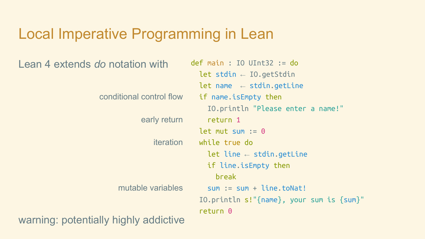#### Local Imperative Programming in Lean

Lean 4 extends *do* notation with def main : IO UInt32 := do

let stdin  $\leftarrow$  IO.getStdin let name  $\leftarrow$  stdin.getLine if name.isEmpty then IO.println "Please enter a name!" return 1 let mut sum  $:= 0$  while true do let line  $\leftarrow$  stdin.getLine if line.isEmpty then break  $sum := sum + line.toNat!$  IO.println s!"{name}, your sum is {sum}" return 0 conditional control flow early return iteration mutable variables

warning: potentially highly addictive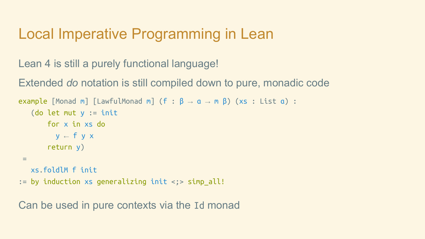#### Local Imperative Programming in Lean

Lean 4 is still a purely functional language!

Extended *do* notation is still compiled down to pure, monadic code

```
example [Monad m] [LawfulMonad m] (f : \beta \rightarrow \alpha \rightarrow m \beta) (xs : List \alpha) :
   (do let mut y := init for x in xs do
           v \leftarrow f v x return y)
  =
    xs.foldlM f init
:= by induction xs generalizing init <;> simp_all!
```
Can be used in pure contexts via the Id monad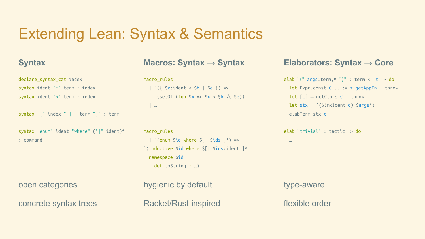### Extending Lean: Syntax & Semantics

#### **Syntax**

declare syntax cat index syntax ident ":" term : index syntax ident "<" term : index

```
syntax "{" index " | " term "}" : term
```

```
syntax "enum" ident "where" ("|" ident)*
: command
```
open categories

concrete syntax trees

**Macros: Syntax → Syntax**

#### macro\_rules

|  $^{'}$ ({ \$x:ident < \$h | \$e }) =>  $\text{`(setOf (fun $x => $x < $h \land $e))}$ | …

```
macro_rules
  | `(enum $id where \frac{1}{2}| $ids \frac{1}{2} =>
`(inductive $id where $[| $ids:ident ]*
   namespace $id
     def toString : …)
```
hygienic by default Racket/Rust-inspired

#### **Elaborators: Syntax → Core**

```
elab "⟨" args:term,* "⟩" : term <= τ => do
   let Expr.const C .. := τ.getAppFn | throw …
  let [c] \leftarrow getCtors C | throw …
  let stx \leftarrow `($(mkIdent c) $args*)
   elabTerm stx τ
```

```
elab "trivial" : tactic => do
```
type-aware

…

flexible order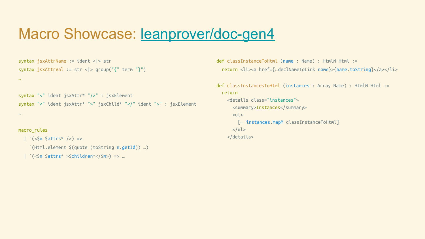#### Macro Showcase: [leanprover/doc-gen4](https://github.com/leanprover/doc-gen4)

```
syntax jsxAttrName := ident <|> str
syntax jsxAttrVal := str <|> group("{" term "}")
```

```
syntax "<" ident jsxAttr* "/>" : jsxElement
syntax "<" ident jsxAttr* ">" jsxChild* "</" ident ">" : jsxElement
```
macro\_rules

…

…

```
| \cdot (<$n $attrs* />) =>
   `(Html.element $(quote (toString n.getId)) …)
```

```
 | `(<$n $attrs* >$children*</$m>) => …
```
def classInstanceToHtml (name : Name) : HtmlM Html := return <li><a href={←declNameToLink name}>{name.toString}</a></li>

```
def classInstancesToHtml (instances : Array Name) : HtmlM Html :=
  return
     <details class="instances">
       <summary>Instances</summary>
      \lequl\geq [← instances.mapM classInstanceToHtml]
      \langleul>
     </details>
```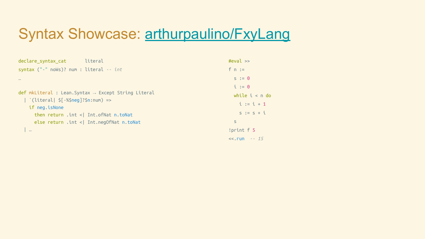### Syntax Showcase: [arthurpaulino/FxyLang](https://github.com/arthurpaulino/FxyLang)

| literal<br>declare syntax cat                                      | $\#eval \gg$     |
|--------------------------------------------------------------------|------------------|
| syntax $(" -"$ noWs)? num : literal $-$ int                        | $f \cap :=$      |
| $\cdots$                                                           | $s := 0$         |
|                                                                    | $i := 0$         |
| $def$ mkLiteral : Lean. Syntax $\rightarrow$ Except String Literal | while $i < n$ do |
| `(literal  \$[-%\$neg]?\$n:num) =>                                 | $i := i + 1$     |
| if neg.isNone                                                      | $s := s + i$     |
| then return .int < $ $ Int. of Nat n. to Nat                       | $\mathsf{S}$     |
| else return .int <  Int.negOfNat n.toNat                           |                  |
|                                                                    | !print f 5       |
|                                                                    | $<< .$ run $-15$ |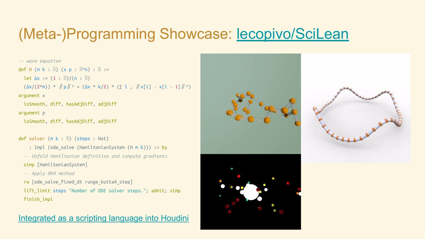#### (Meta-)Programming Showcase: **[lecopivo/SciLean](https://github.com/lecopivo/SciLean)**

```
-- wave equation
def H (m k : ℝ) (x p : ℝ^n) : ℝ :=
  let \Delta x := (1 : \mathbb{R})/(\mathsf{n} : \mathbb{R})(\Delta x/(2^m)) * ||p||^2 + (\Delta x * k/2) * (\Sigma i, ||x[i] - x[i - 1]||^2)argument x
   isSmooth, diff, hasAdjDiff, adjDiff
argument p
   isSmooth, diff, hasAdjDiff, adjDiff
def solver (m k : ℝ) (steps : Nat)
```

```
: Impl (ode solve (HamiltonianSystem (H m k))) := by
```
*-- Unfold Hamiltonian definition and compute gradients*

```
simp [HamiltonianSystem]
```

```
 -- Apply RK4 method
```

```
rw [ode solve fixed dt runge kutta4 step]
```

```
 lift_limit steps "Number of ODE solver steps."; admit; simp
 finish_impl
```
#### [Integrated as a scripting language into Houdini](https://leanprover.zulipchat.com/#narrow/stream/270676-lean4/topic/Lean.204.20as.20a.20scripting.20language.20in.20Houdini)